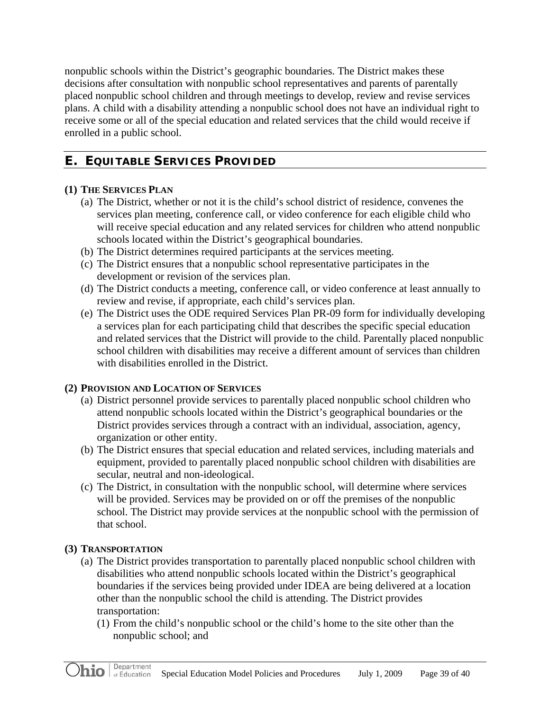nonpublic schools within the District's geographic boundaries. The District makes these decisions after consultation with nonpublic school representatives and parents of parentally placed nonpublic school children and through meetings to develop, review and revise services plans. A child with a disability attending a nonpublic school does not have an individual right to receive some or all of the special education and related services that the child would receive if enrolled in a public school.

# **E. EQUITABLE SERVICES PROVIDED**

# **(1) THE SERVICES PLAN**

- (a) The District, whether or not it is the child's school district of residence, convenes the services plan meeting, conference call, or video conference for each eligible child who will receive special education and any related services for children who attend nonpublic schools located within the District's geographical boundaries.
- (b) The District determines required participants at the services meeting.
- (c) The District ensures that a nonpublic school representative participates in the development or revision of the services plan.
- (d) The District conducts a meeting, conference call, or video conference at least annually to review and revise, if appropriate, each child's services plan.
- (e) The District uses the ODE required Services Plan PR-09 form for individually developing a services plan for each participating child that describes the specific special education and related services that the District will provide to the child. Parentally placed nonpublic school children with disabilities may receive a different amount of services than children with disabilities enrolled in the District.

# **(2) PROVISION AND LOCATION OF SERVICES**

- (a) District personnel provide services to parentally placed nonpublic school children who attend nonpublic schools located within the District's geographical boundaries or the District provides services through a contract with an individual, association, agency, organization or other entity.
- (b) The District ensures that special education and related services, including materials and equipment, provided to parentally placed nonpublic school children with disabilities are secular, neutral and non-ideological.
- (c) The District, in consultation with the nonpublic school, will determine where services will be provided. Services may be provided on or off the premises of the nonpublic school. The District may provide services at the nonpublic school with the permission of that school.

# **(3) TRANSPORTATION**

- (a) The District provides transportation to parentally placed nonpublic school children with disabilities who attend nonpublic schools located within the District's geographical boundaries if the services being provided under IDEA are being delivered at a location other than the nonpublic school the child is attending. The District provides transportation:
	- (1) From the child's nonpublic school or the child's home to the site other than the nonpublic school; and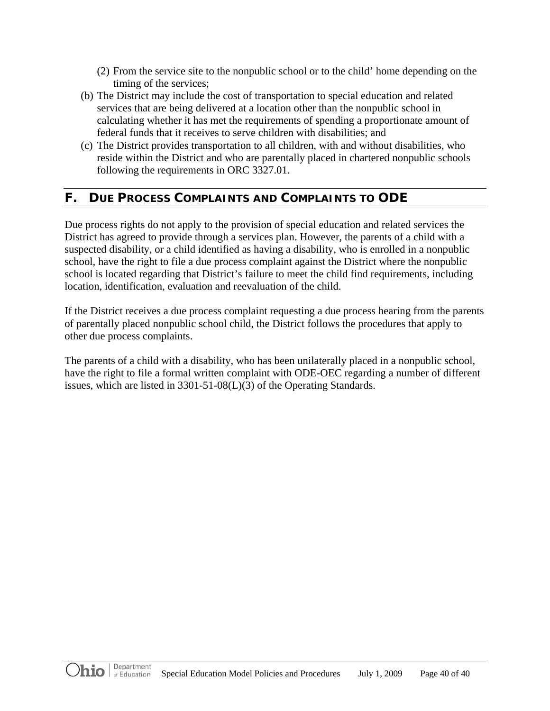- (2) From the service site to the nonpublic school or to the child' home depending on the timing of the services;
- (b) The District may include the cost of transportation to special education and related services that are being delivered at a location other than the nonpublic school in calculating whether it has met the requirements of spending a proportionate amount of federal funds that it receives to serve children with disabilities; and
- (c) The District provides transportation to all children, with and without disabilities, who reside within the District and who are parentally placed in chartered nonpublic schools following the requirements in ORC 3327.01.

# **F. DUE PROCESS COMPLAINTS AND COMPLAINTS TO ODE**

Due process rights do not apply to the provision of special education and related services the District has agreed to provide through a services plan. However, the parents of a child with a suspected disability, or a child identified as having a disability, who is enrolled in a nonpublic school, have the right to file a due process complaint against the District where the nonpublic school is located regarding that District's failure to meet the child find requirements, including location, identification, evaluation and reevaluation of the child.

If the District receives a due process complaint requesting a due process hearing from the parents of parentally placed nonpublic school child, the District follows the procedures that apply to other due process complaints.

The parents of a child with a disability, who has been unilaterally placed in a nonpublic school, have the right to file a formal written complaint with ODE-OEC regarding a number of different issues, which are listed in 3301-51-08(L)(3) of the Operating Standards.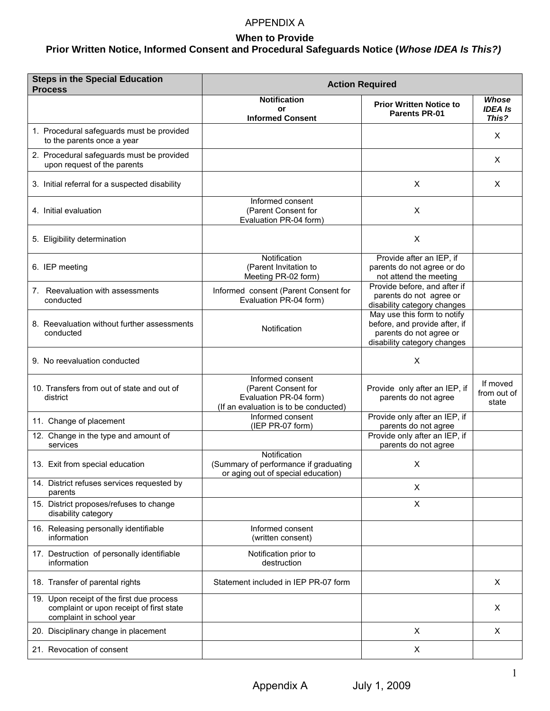# APPENDIX A

# **When to Provide**

# **Prior Written Notice, Informed Consent and Procedural Safeguards Notice (***Whose IDEA Is This?)*

| <b>Steps in the Special Education</b><br><b>Process</b>                                                           | <b>Action Required</b>                                                                                     |                                                                                                                        |                                  |
|-------------------------------------------------------------------------------------------------------------------|------------------------------------------------------------------------------------------------------------|------------------------------------------------------------------------------------------------------------------------|----------------------------------|
|                                                                                                                   | <b>Notification</b><br>or                                                                                  | <b>Prior Written Notice to</b>                                                                                         | Whose<br><b>IDEA Is</b>          |
|                                                                                                                   | <b>Informed Consent</b>                                                                                    | <b>Parents PR-01</b>                                                                                                   | This?                            |
| 1. Procedural safeguards must be provided<br>to the parents once a year                                           |                                                                                                            |                                                                                                                        | X.                               |
| 2. Procedural safeguards must be provided<br>upon request of the parents                                          |                                                                                                            |                                                                                                                        | X                                |
| 3. Initial referral for a suspected disability                                                                    |                                                                                                            | X                                                                                                                      | X                                |
| 4. Initial evaluation                                                                                             | Informed consent<br>(Parent Consent for<br>Evaluation PR-04 form)                                          | X                                                                                                                      |                                  |
| 5. Eligibility determination                                                                                      |                                                                                                            | X                                                                                                                      |                                  |
| 6. IEP meeting                                                                                                    | Notification<br>(Parent Invitation to<br>Meeting PR-02 form)                                               | Provide after an IEP, if<br>parents do not agree or do<br>not attend the meeting                                       |                                  |
| 7. Reevaluation with assessments<br>conducted                                                                     | Informed consent (Parent Consent for<br>Evaluation PR-04 form)                                             | Provide before, and after if<br>parents do not agree or<br>disability category changes                                 |                                  |
| 8. Reevaluation without further assessments<br>conducted                                                          | Notification                                                                                               | May use this form to notify<br>before, and provide after, if<br>parents do not agree or<br>disability category changes |                                  |
| 9. No reevaluation conducted                                                                                      |                                                                                                            | X                                                                                                                      |                                  |
| 10. Transfers from out of state and out of<br>district                                                            | Informed consent<br>(Parent Consent for<br>Evaluation PR-04 form)<br>(If an evaluation is to be conducted) | Provide only after an IEP, if<br>parents do not agree                                                                  | If moved<br>from out of<br>state |
| 11. Change of placement                                                                                           | Informed consent<br>(IEP PR-07 form)                                                                       | Provide only after an IEP, if<br>parents do not agree                                                                  |                                  |
| 12. Change in the type and amount of<br>services                                                                  |                                                                                                            | Provide only after an IEP, if<br>parents do not agree                                                                  |                                  |
| 13. Exit from special education                                                                                   | Notification<br>(Summary of performance if graduating<br>or aging out of special education)                | X                                                                                                                      |                                  |
| 14. District refuses services requested by<br>parents                                                             |                                                                                                            | X                                                                                                                      |                                  |
| 15. District proposes/refuses to change<br>disability category                                                    |                                                                                                            | X                                                                                                                      |                                  |
| 16. Releasing personally identifiable<br>information                                                              | Informed consent<br>(written consent)                                                                      |                                                                                                                        |                                  |
| 17. Destruction of personally identifiable<br>information                                                         | Notification prior to<br>destruction                                                                       |                                                                                                                        |                                  |
| 18. Transfer of parental rights                                                                                   | Statement included in IEP PR-07 form                                                                       |                                                                                                                        | X                                |
| 19. Upon receipt of the first due process<br>complaint or upon receipt of first state<br>complaint in school year |                                                                                                            |                                                                                                                        | Χ                                |
| 20. Disciplinary change in placement                                                                              |                                                                                                            | X                                                                                                                      | X                                |
| 21. Revocation of consent                                                                                         |                                                                                                            | X                                                                                                                      |                                  |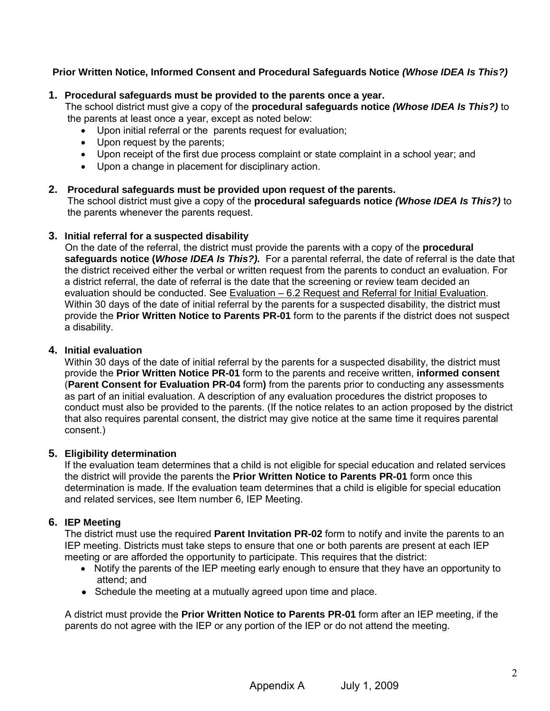**Prior Written Notice, Informed Consent and Procedural Safeguards Notice** *(Whose IDEA Is This?)* 

# **1. Procedural safeguards must be provided to the parents once a year.**

The school district must give a copy of the **procedural safeguards notice** *(Whose IDEA Is This?)* to the parents at least once a year, except as noted below:

- Upon initial referral or the parents request for evaluation;
- Upon request by the parents;
- Upon receipt of the first due process complaint or state complaint in a school year; and
- Upon a change in placement for disciplinary action.

# **2. Procedural safeguards must be provided upon request of the parents.**

The school district must give a copy of the **procedural safeguards notice** *(Whose IDEA Is This?)* to the parents whenever the parents request.

# **3. Initial referral for a suspected disability**

On the date of the referral, the district must provide the parents with a copy of the **procedural safeguards notice (***Whose IDEA Is This?).* For a parental referral, the date of referral is the date that the district received either the verbal or written request from the parents to conduct an evaluation. For a district referral, the date of referral is the date that the screening or review team decided an evaluation should be conducted. See Evaluation - 6.2 Request and Referral for Initial Evaluation. Within 30 days of the date of initial referral by the parents for a suspected disability, the district must provide the **Prior Written Notice to Parents PR-01** form to the parents if the district does not suspect a disability.

# **4. Initial evaluation**

Within 30 days of the date of initial referral by the parents for a suspected disability, the district must provide the **Prior Written Notice PR-01** form to the parents and receive written, **informed consent** (**Parent Consent for Evaluation PR-04** form**)** from the parents prior to conducting any assessments as part of an initial evaluation. A description of any evaluation procedures the district proposes to conduct must also be provided to the parents. (If the notice relates to an action proposed by the district that also requires parental consent, the district may give notice at the same time it requires parental consent.)

# **5. Eligibility determination**

If the evaluation team determines that a child is not eligible for special education and related services the district will provide the parents the **Prior Written Notice to Parents PR-01** form once this determination is made. If the evaluation team determines that a child is eligible for special education and related services, see Item number 6, IEP Meeting.

# **6. IEP Meeting**

The district must use the required **Parent Invitation PR-02** form to notify and invite the parents to an IEP meeting. Districts must take steps to ensure that one or both parents are present at each IEP meeting or are afforded the opportunity to participate. This requires that the district:

- Notify the parents of the IEP meeting early enough to ensure that they have an opportunity to attend; and
- Schedule the meeting at a mutually agreed upon time and place.

 A district must provide the **Prior Written Notice to Parents PR-01** form after an IEP meeting, if the parents do not agree with the IEP or any portion of the IEP or do not attend the meeting.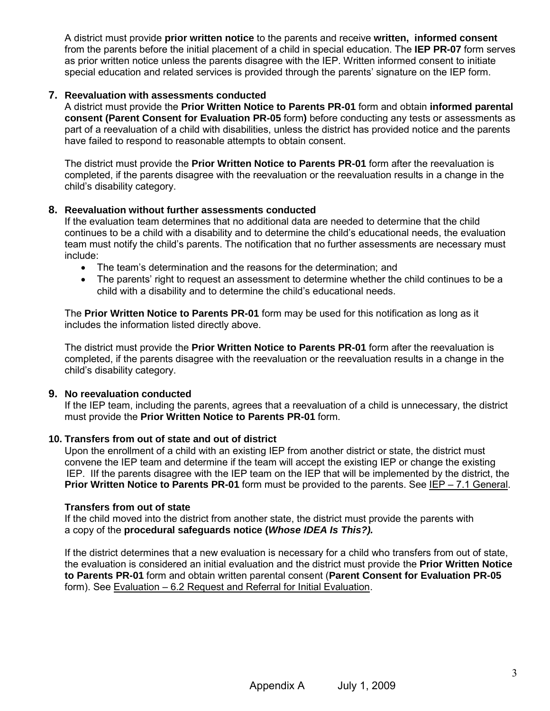A district must provide **prior written notice** to the parents and receive **written, informed consent** from the parents before the initial placement of a child in special education. The **IEP PR-07** form serves as prior written notice unless the parents disagree with the IEP. Written informed consent to initiate special education and related services is provided through the parents' signature on the IEP form.

#### **7. Reevaluation with assessments conducted**

A district must provide the **Prior Written Notice to Parents PR-01** form and obtain **informed parental consent (Parent Consent for Evaluation PR-05** form**)** before conducting any tests or assessments as part of a reevaluation of a child with disabilities, unless the district has provided notice and the parents have failed to respond to reasonable attempts to obtain consent.

The district must provide the **Prior Written Notice to Parents PR-01** form after the reevaluation is completed, if the parents disagree with the reevaluation or the reevaluation results in a change in the child's disability category.

#### **8. Reevaluation without further assessments conducted**

If the evaluation team determines that no additional data are needed to determine that the child continues to be a child with a disability and to determine the child's educational needs, the evaluation team must notify the child's parents. The notification that no further assessments are necessary must include:

- The team's determination and the reasons for the determination; and
- The parents' right to request an assessment to determine whether the child continues to be a child with a disability and to determine the child's educational needs.

The **Prior Written Notice to Parents PR-01** form may be used for this notification as long as it includes the information listed directly above.

The district must provide the **Prior Written Notice to Parents PR-01** form after the reevaluation is completed, if the parents disagree with the reevaluation or the reevaluation results in a change in the child's disability category.

# **9. No reevaluation conducted**

 If the IEP team, including the parents, agrees that a reevaluation of a child is unnecessary, the district must provide the **Prior Written Notice to Parents PR-01** form.

#### **10. Transfers from out of state and out of district**

Upon the enrollment of a child with an existing IEP from another district or state, the district must convene the IEP team and determine if the team will accept the existing IEP or change the existing IEP. IIf the parents disagree with the IEP team on the IEP that will be implemented by the district, the **Prior Written Notice to Parents PR-01** form must be provided to the parents. See [IEP – 7.1 General.](http://edresourcesohio.org/ogdse/7_-_iep/7-1/document)

#### **Transfers from out of state**

If the child moved into the district from another state, the district must provide the parents with a copy of the **procedural safeguards notice (***Whose IDEA Is This?).*

If the district determines that a new evaluation is necessary for a child who transfers from out of state, the evaluation is considered an initial evaluation and the district must provide the **Prior Written Notice to Parents PR-01** form and obtain written parental consent (**Parent Consent for Evaluation PR-05**  form). See [Evaluation – 6.2 Request and Referral for Initial Evaluation.](http://edresourcesohio.org/ogdse/6_-_evaluation/6-2/document)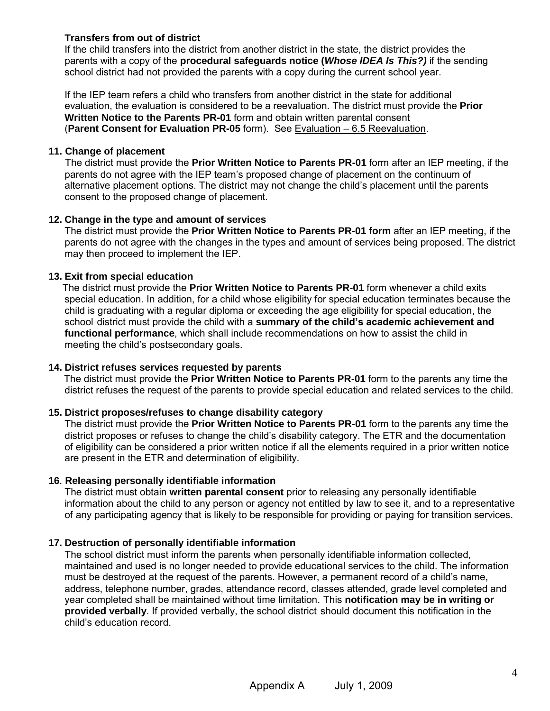# **Transfers from out of district**

If the child transfers into the district from another district in the state, the district provides the parents with a copy of the **procedural safeguards notice (***Whose IDEA Is This?)* if the sending school district had not provided the parents with a copy during the current school year.

If the IEP team refers a child who transfers from another district in the state for additional evaluation, the evaluation is considered to be a reevaluation. The district must provide the **Prior Written Notice to the Parents PR-01** form and obtain written parental consent (**Parent Consent for Evaluation PR-05** form). See [Evaluation – 6.5 Reevaluation.](http://edresourcesohio.org/ogdse/6_-_evaluation/6-5/document)

#### **11. Change of placement**

The district must provide the **Prior Written Notice to Parents PR-01** form after an IEP meeting, if the parents do not agree with the IEP team's proposed change of placement on the continuum of alternative placement options. The district may not change the child's placement until the parents consent to the proposed change of placement.

# **12. Change in the type and amount of services**

The district must provide the **Prior Written Notice to Parents PR-01 form** after an IEP meeting, if the parents do not agree with the changes in the types and amount of services being proposed. The district may then proceed to implement the IEP.

# **13. Exit from special education**

 The district must provide the **Prior Written Notice to Parents PR-01** form whenever a child exits special education. In addition, for a child whose eligibility for special education terminates because the child is graduating with a regular diploma or exceeding the age eligibility for special education, the school district must provide the child with a **summary of the child's academic achievement and functional performance**, which shall include recommendations on how to assist the child in meeting the child's postsecondary goals.

# **14. District refuses services requested by parents**

The district must provide the **Prior Written Notice to Parents PR-01** form to the parents any time the district refuses the request of the parents to provide special education and related services to the child.

# **15. District proposes/refuses to change disability category**

The district must provide the **Prior Written Notice to Parents PR-01** form to the parents any time the district proposes or refuses to change the child's disability category. The ETR and the documentation of eligibility can be considered a prior written notice if all the elements required in a prior written notice are present in the ETR and determination of eligibility.

# **16**. **Releasing personally identifiable information**

 The district must obtain **written parental consent** prior to releasing any personally identifiable information about the child to any person or agency not entitled by law to see it, and to a representative of any participating agency that is likely to be responsible for providing or paying for transition services.

# **17. Destruction of personally identifiable information**

The school district must inform the parents when personally identifiable information collected, maintained and used is no longer needed to provide educational services to the child. The information must be destroyed at the request of the parents. However, a permanent record of a child's name, address, telephone number, grades, attendance record, classes attended, grade level completed and year completed shall be maintained without time limitation. This **notification may be in writing or provided verbally**. If provided verbally, the school district should document this notification in the child's education record.